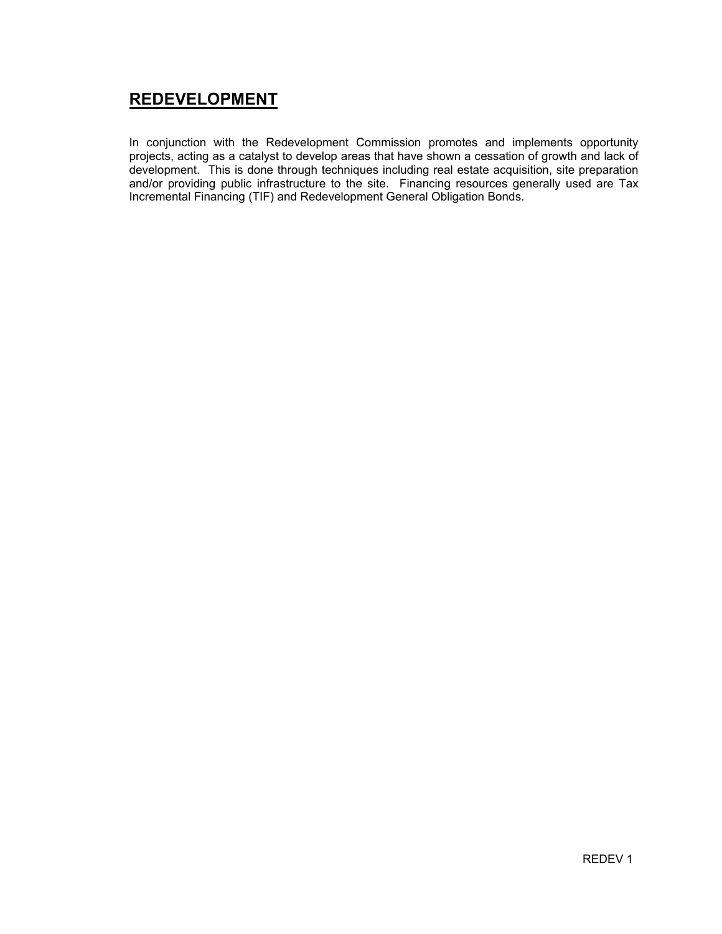## REDEVELOPMENT

In conjunction with the Redevelopment Commission promotes and implements opportunity projects, acting as a catalyst to develop areas that have shown a cessation of growth and lack of development. This is done through techniques including real estate acquisition, site preparation and/or providing public infrastructure to the site. Financing resources generally used are Tax Incremental Financing (TIF) and Redevelopment General Obligation Bonds.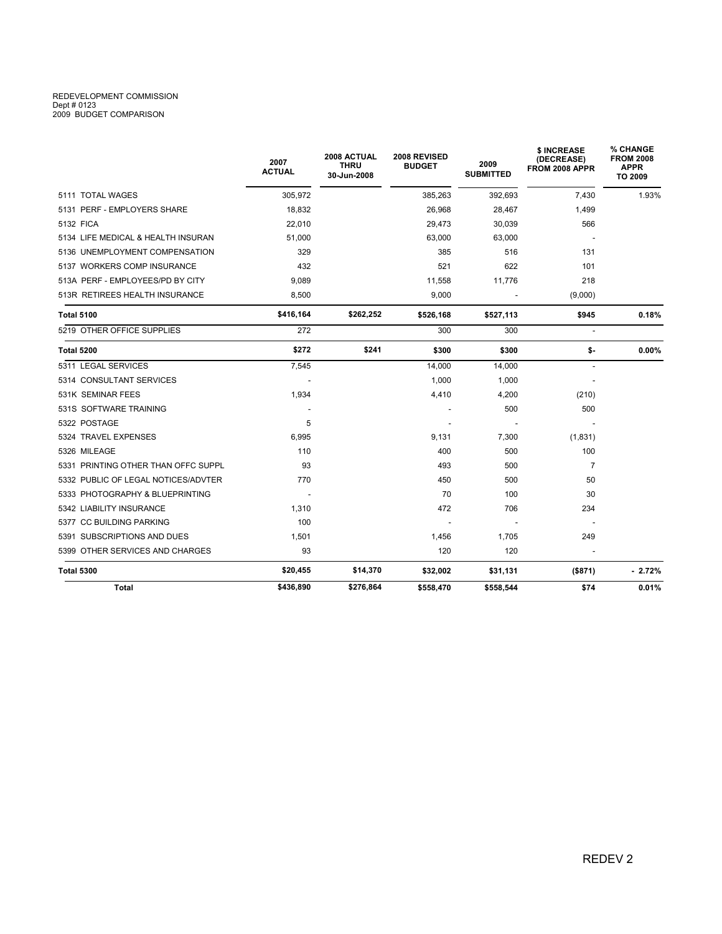## REDEVELOPMENT COMMISSION Dept # 0123 2009 BUDGET COMPARISON

| <b>Total</b>                        | \$436,890             | \$276,864                                 | \$558,470                     | \$558,544                | \$74                                        | 0.01%                                                  |
|-------------------------------------|-----------------------|-------------------------------------------|-------------------------------|--------------------------|---------------------------------------------|--------------------------------------------------------|
| <b>Total 5300</b>                   | \$20,455              | \$14,370                                  | \$32,002                      | \$31,131                 | (\$871)                                     | $-2.72\%$                                              |
| 5399 OTHER SERVICES AND CHARGES     | 93                    |                                           | 120                           | 120                      |                                             |                                                        |
| 5391 SUBSCRIPTIONS AND DUES         | 1,501                 |                                           | 1,456                         | 1,705                    | 249                                         |                                                        |
| 5377 CC BUILDING PARKING            | 100                   |                                           |                               |                          |                                             |                                                        |
| 5342 LIABILITY INSURANCE            | 1,310                 |                                           | 472                           | 706                      | 234                                         |                                                        |
| 5333 PHOTOGRAPHY & BLUEPRINTING     |                       |                                           | 70                            | 100                      | 30                                          |                                                        |
| 5332 PUBLIC OF LEGAL NOTICES/ADVTER | 770                   |                                           | 450                           | 500                      | 50                                          |                                                        |
| 5331 PRINTING OTHER THAN OFFC SUPPL | 93                    |                                           | 493                           | 500                      | $\overline{7}$                              |                                                        |
| 5326 MILEAGE                        | 110                   |                                           | 400                           | 500                      | 100                                         |                                                        |
| 5324 TRAVEL EXPENSES                | 6,995                 |                                           | 9,131                         | 7,300                    | (1,831)                                     |                                                        |
| 5322 POSTAGE                        | 5                     |                                           |                               |                          |                                             |                                                        |
| 531S SOFTWARE TRAINING              |                       |                                           |                               | 500                      | 500                                         |                                                        |
| 531K SEMINAR FEES                   | 1,934                 |                                           | 4,410                         | 4,200                    | (210)                                       |                                                        |
| 5314 CONSULTANT SERVICES            |                       |                                           | 1,000                         | 1,000                    |                                             |                                                        |
| 5311 LEGAL SERVICES                 | 7,545                 |                                           | 14,000                        | 14,000                   |                                             |                                                        |
| <b>Total 5200</b>                   | \$272                 | \$241                                     | \$300                         | \$300                    | \$-                                         | $0.00\%$                                               |
| 5219 OTHER OFFICE SUPPLIES          | 272                   |                                           | 300                           | 300                      | $\overline{a}$                              |                                                        |
| <b>Total 5100</b>                   | \$416,164             | \$262,252                                 | \$526,168                     | \$527,113                | \$945                                       | 0.18%                                                  |
| 513R RETIREES HEALTH INSURANCE      | 8,500                 |                                           | 9,000                         |                          | (9,000)                                     |                                                        |
| 513A PERF - EMPLOYEES/PD BY CITY    | 9.089                 |                                           | 11,558                        | 11,776                   | 218                                         |                                                        |
| 5137 WORKERS COMP INSURANCE         | 432                   |                                           | 521                           | 622                      | 101                                         |                                                        |
| 5136 UNEMPLOYMENT COMPENSATION      | 329                   |                                           | 385                           | 516                      | 131                                         |                                                        |
| 5134 LIFE MEDICAL & HEALTH INSURAN  | 51,000                |                                           | 63,000                        | 63,000                   |                                             |                                                        |
| 5132 FICA                           | 22,010                |                                           | 29,473                        | 30,039                   | 566                                         |                                                        |
| 5131 PERF - EMPLOYERS SHARE         | 18,832                |                                           | 26,968                        | 28,467                   | 1,499                                       |                                                        |
| 5111 TOTAL WAGES                    | 305,972               |                                           | 385,263                       | 392,693                  | 7.430                                       | 1.93%                                                  |
|                                     | 2007<br><b>ACTUAL</b> | 2008 ACTUAL<br><b>THRU</b><br>30-Jun-2008 | 2008 REVISED<br><b>BUDGET</b> | 2009<br><b>SUBMITTED</b> | \$ INCREASE<br>(DECREASE)<br>FROM 2008 APPR | % CHANGE<br><b>FROM 2008</b><br><b>APPR</b><br>TO 2009 |